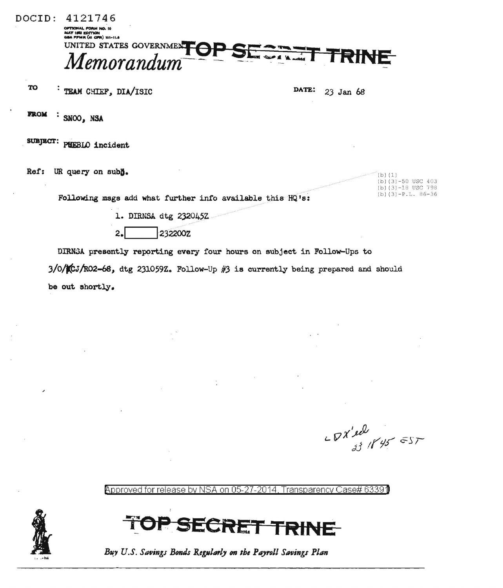DOCID: 4121746 **CAL FORM NO. 10** MAY 1982 EDITION<br>GBA FFMR (41 GPR) 101-11.8 UNITED STATES GOVERNMENT OP SESSEE. TRINE

TO  $\cdot$  TEAM CHIEF, DIA/ISIC DATE: 23 Jan 68

**FROM** . • SNOO, NSA

SUBJECT: PUEBLO incident

Ref: UR query on subl).

Following msgs add what further info available this HQ's:

1. DIRNSA dtg 232045Z

2. **2322002** 

DIRNi3A. presently reporting every four hours on subject in Follow-Ups to  $3/0$ / $CJ/RO2-68$ , dtg 231059Z. Follow-Up #3 is currently being prepared and should be out shortly.

 $-8x'e^{2}$ 

 $(b) (1)$ 

(b)(3)-50 USC 403  $(b)$  (3)-18 USC 798 (b)  $(3) - P.L. 86-36$ 

@>pproved for release by NSA on 05-27-2014, Transparency Case# 6339)



**ECRET TRINE** 

Buy U.S. Savings Bonds Regularly on the Payroll Savings Plan